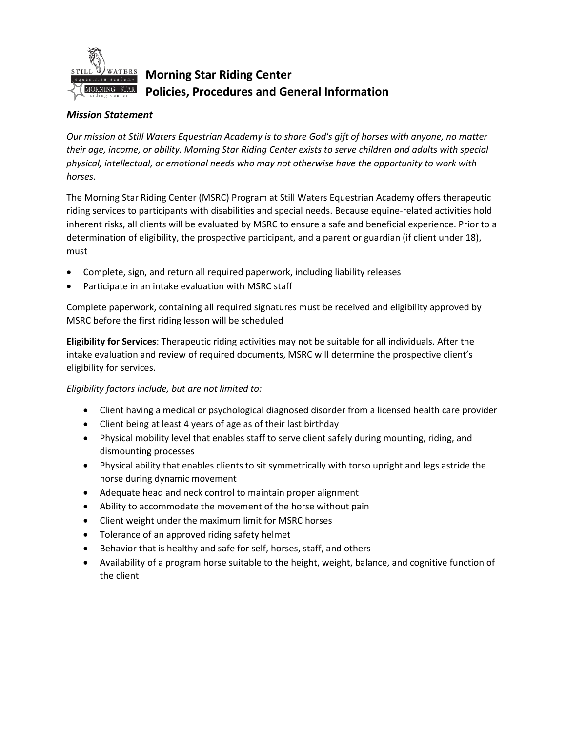

**Morning Star Riding Center Policies, Procedures and General Information**

## *Mission Statement*

*Our mission at Still Waters Equestrian Academy is to share God's gift of horses with anyone, no matter their age, income, or ability. Morning Star Riding Center exists to serve children and adults with special physical, intellectual, or emotional needs who may not otherwise have the opportunity to work with horses.*

The Morning Star Riding Center (MSRC) Program at Still Waters Equestrian Academy offers therapeutic riding services to participants with disabilities and special needs. Because equine-related activities hold inherent risks, all clients will be evaluated by MSRC to ensure a safe and beneficial experience. Prior to a determination of eligibility, the prospective participant, and a parent or guardian (if client under 18), must

- Complete, sign, and return all required paperwork, including liability releases
- Participate in an intake evaluation with MSRC staff

Complete paperwork, containing all required signatures must be received and eligibility approved by MSRC before the first riding lesson will be scheduled

**Eligibility for Services**: Therapeutic riding activities may not be suitable for all individuals. After the intake evaluation and review of required documents, MSRC will determine the prospective client's eligibility for services.

## *Eligibility factors include, but are not limited to:*

- Client having a medical or psychological diagnosed disorder from a licensed health care provider
- Client being at least 4 years of age as of their last birthday
- Physical mobility level that enables staff to serve client safely during mounting, riding, and dismounting processes
- Physical ability that enables clients to sit symmetrically with torso upright and legs astride the horse during dynamic movement
- Adequate head and neck control to maintain proper alignment
- Ability to accommodate the movement of the horse without pain
- Client weight under the maximum limit for MSRC horses
- Tolerance of an approved riding safety helmet
- Behavior that is healthy and safe for self, horses, staff, and others
- Availability of a program horse suitable to the height, weight, balance, and cognitive function of the client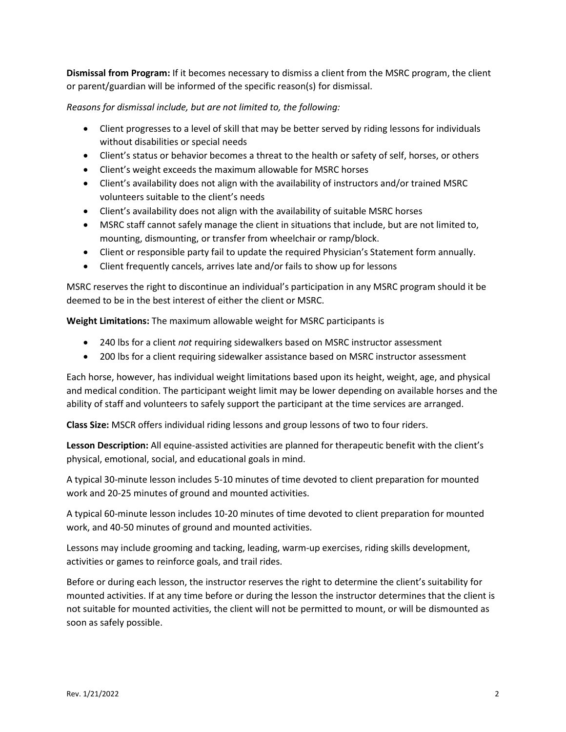**Dismissal from Program:** If it becomes necessary to dismiss a client from the MSRC program, the client or parent/guardian will be informed of the specific reason(s) for dismissal.

*Reasons for dismissal include, but are not limited to, the following:*

- Client progresses to a level of skill that may be better served by riding lessons for individuals without disabilities or special needs
- Client's status or behavior becomes a threat to the health or safety of self, horses, or others
- Client's weight exceeds the maximum allowable for MSRC horses
- Client's availability does not align with the availability of instructors and/or trained MSRC volunteers suitable to the client's needs
- Client's availability does not align with the availability of suitable MSRC horses
- MSRC staff cannot safely manage the client in situations that include, but are not limited to, mounting, dismounting, or transfer from wheelchair or ramp/block.
- Client or responsible party fail to update the required Physician's Statement form annually.
- Client frequently cancels, arrives late and/or fails to show up for lessons

MSRC reserves the right to discontinue an individual's participation in any MSRC program should it be deemed to be in the best interest of either the client or MSRC.

**Weight Limitations:** The maximum allowable weight for MSRC participants is

- 240 lbs for a client *not* requiring sidewalkers based on MSRC instructor assessment
- 200 lbs for a client requiring sidewalker assistance based on MSRC instructor assessment

Each horse, however, has individual weight limitations based upon its height, weight, age, and physical and medical condition. The participant weight limit may be lower depending on available horses and the ability of staff and volunteers to safely support the participant at the time services are arranged.

**Class Size:** MSCR offers individual riding lessons and group lessons of two to four riders.

**Lesson Description:** All equine-assisted activities are planned for therapeutic benefit with the client's physical, emotional, social, and educational goals in mind.

A typical 30-minute lesson includes 5-10 minutes of time devoted to client preparation for mounted work and 20-25 minutes of ground and mounted activities.

A typical 60-minute lesson includes 10-20 minutes of time devoted to client preparation for mounted work, and 40-50 minutes of ground and mounted activities.

Lessons may include grooming and tacking, leading, warm-up exercises, riding skills development, activities or games to reinforce goals, and trail rides.

Before or during each lesson, the instructor reserves the right to determine the client's suitability for mounted activities. If at any time before or during the lesson the instructor determines that the client is not suitable for mounted activities, the client will not be permitted to mount, or will be dismounted as soon as safely possible.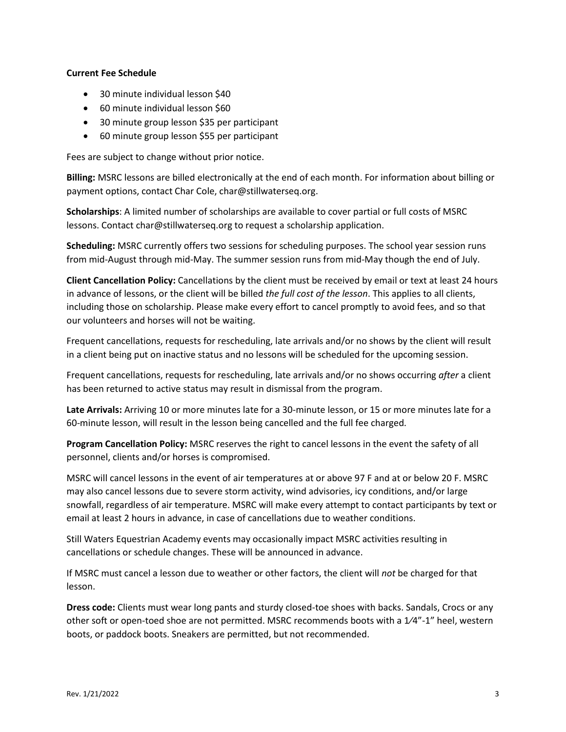## **Current Fee Schedule**

- 30 minute individual lesson \$40
- 60 minute individual lesson \$60
- 30 minute group lesson \$35 per participant
- 60 minute group lesson \$55 per participant

Fees are subject to change without prior notice.

**Billing:** MSRC lessons are billed electronically at the end of each month. For information about billing or payment options, contact Char Cole, char@stillwaterseq.org.

**Scholarships**: A limited number of scholarships are available to cover partial or full costs of MSRC lessons. Contact char@stillwaterseq.org to request a scholarship application.

**Scheduling:** MSRC currently offers two sessions for scheduling purposes. The school year session runs from mid-August through mid-May. The summer session runs from mid-May though the end of July.

**Client Cancellation Policy:** Cancellations by the client must be received by email or text at least 24 hours in advance of lessons, or the client will be billed *the full cost of the lesson*. This applies to all clients, including those on scholarship. Please make every effort to cancel promptly to avoid fees, and so that our volunteers and horses will not be waiting.

Frequent cancellations, requests for rescheduling, late arrivals and/or no shows by the client will result in a client being put on inactive status and no lessons will be scheduled for the upcoming session.

Frequent cancellations, requests for rescheduling, late arrivals and/or no shows occurring *after* a client has been returned to active status may result in dismissal from the program.

**Late Arrivals:** Arriving 10 or more minutes late for a 30-minute lesson, or 15 or more minutes late for a 60-minute lesson, will result in the lesson being cancelled and the full fee charged.

**Program Cancellation Policy:** MSRC reserves the right to cancel lessons in the event the safety of all personnel, clients and/or horses is compromised.

MSRC will cancel lessons in the event of air temperatures at or above 97 F and at or below 20 F. MSRC may also cancel lessons due to severe storm activity, wind advisories, icy conditions, and/or large snowfall, regardless of air temperature. MSRC will make every attempt to contact participants by text or email at least 2 hours in advance, in case of cancellations due to weather conditions.

Still Waters Equestrian Academy events may occasionally impact MSRC activities resulting in cancellations or schedule changes. These will be announced in advance.

If MSRC must cancel a lesson due to weather or other factors, the client will *not* be charged for that lesson.

**Dress code:** Clients must wear long pants and sturdy closed-toe shoes with backs. Sandals, Crocs or any other soft or open-toed shoe are not permitted. MSRC recommends boots with a 1⁄4"-1" heel, western boots, or paddock boots. Sneakers are permitted, but not recommended.